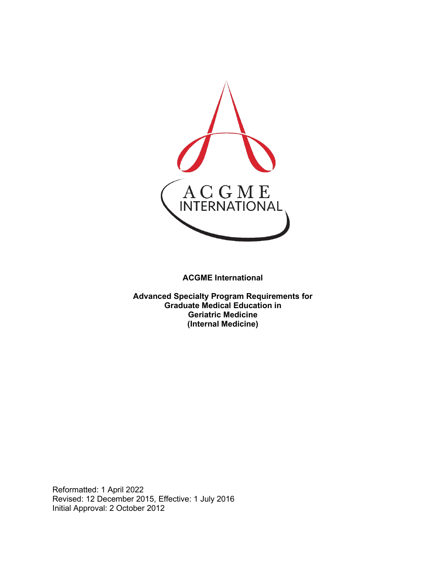

**ACGME International** 

**Advanced Specialty Program Requirements for Graduate Medical Education in Geriatric Medicine (Internal Medicine)**

Reformatted: 1 April 2022 Revised: 12 December 2015, Effective: 1 July 2016 Initial Approval: 2 October 2012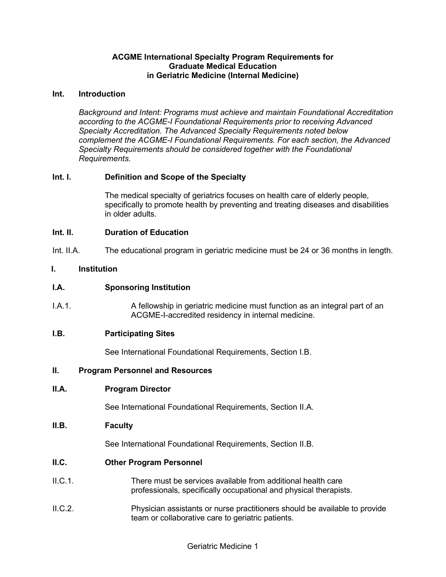#### **ACGME International Specialty Program Requirements for Graduate Medical Education in Geriatric Medicine (Internal Medicine)**

#### **Int. Introduction**

*Background and Intent: Programs must achieve and maintain Foundational Accreditation according to the ACGME-I Foundational Requirements prior to receiving Advanced Specialty Accreditation. The Advanced Specialty Requirements noted below complement the ACGME-I Foundational Requirements. For each section, the Advanced Specialty Requirements should be considered together with the Foundational Requirements.*

### **Int. I. Definition and Scope of the Specialty**

The medical specialty of geriatrics focuses on health care of elderly people, specifically to promote health by preventing and treating diseases and disabilities in older adults.

#### **Int. II. Duration of Education**

Int. II.A. The educational program in geriatric medicine must be 24 or 36 months in length.

#### **I. Institution**

#### **I.A. Sponsoring Institution**

I.A.1. A fellowship in geriatric medicine must function as an integral part of an ACGME-I-accredited residency in internal medicine.

#### **I.B. Participating Sites**

See International Foundational Requirements, Section I.B.

#### **II. Program Personnel and Resources**

#### **II.A. Program Director**

See International Foundational Requirements, Section II.A.

#### **II.B. Faculty**

See International Foundational Requirements, Section II.B.

#### **II.C. Other Program Personnel**

- II.C.1. There must be services available from additional health care professionals, specifically occupational and physical therapists.
- II.C.2. Physician assistants or nurse practitioners should be available to provide team or collaborative care to geriatric patients.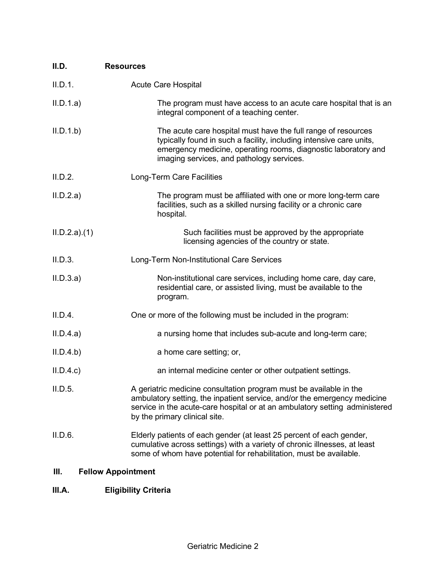| II.D.       | <b>Resources</b>                                                                                                                                                                                                                                               |
|-------------|----------------------------------------------------------------------------------------------------------------------------------------------------------------------------------------------------------------------------------------------------------------|
| II.D.1.     | <b>Acute Care Hospital</b>                                                                                                                                                                                                                                     |
| II.D.1.a)   | The program must have access to an acute care hospital that is an<br>integral component of a teaching center.                                                                                                                                                  |
| II.D.1.b    | The acute care hospital must have the full range of resources<br>typically found in such a facility, including intensive care units,<br>emergency medicine, operating rooms, diagnostic laboratory and<br>imaging services, and pathology services.            |
| II.D.2.     | Long-Term Care Facilities                                                                                                                                                                                                                                      |
| II.D.2.a)   | The program must be affiliated with one or more long-term care<br>facilities, such as a skilled nursing facility or a chronic care<br>hospital.                                                                                                                |
| ILD.2.a)(1) | Such facilities must be approved by the appropriate<br>licensing agencies of the country or state.                                                                                                                                                             |
| II.D.3.     | Long-Term Non-Institutional Care Services                                                                                                                                                                                                                      |
| II.D.3.a)   | Non-institutional care services, including home care, day care,<br>residential care, or assisted living, must be available to the<br>program.                                                                                                                  |
| II.D.4.     | One or more of the following must be included in the program:                                                                                                                                                                                                  |
| II.D.4.a)   | a nursing home that includes sub-acute and long-term care;                                                                                                                                                                                                     |
| II.D.4.b)   | a home care setting; or,                                                                                                                                                                                                                                       |
| II.D.4.c    | an internal medicine center or other outpatient settings.                                                                                                                                                                                                      |
| II.D.5.     | A geriatric medicine consultation program must be available in the<br>ambulatory setting, the inpatient service, and/or the emergency medicine<br>service in the acute-care hospital or at an ambulatory setting administered<br>by the primary clinical site. |
| II.D.6.     | Elderly patients of each gender (at least 25 percent of each gender,<br>cumulative across settings) with a variety of chronic illnesses, at least<br>some of whom have potential for rehabilitation, must be available.                                        |

# **III. Fellow Appointment**

## **III.A. Eligibility Criteria**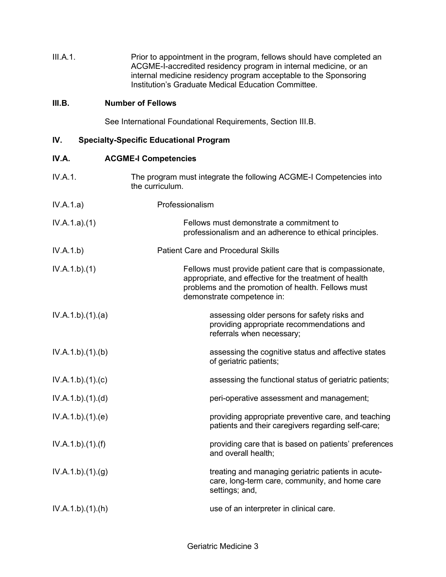| III.A.1. | Prior to appointment in the program, fellows should have completed an |
|----------|-----------------------------------------------------------------------|
|          | ACGME-I-accredited residency program in internal medicine, or an      |
|          | internal medicine residency program acceptable to the Sponsoring      |
|          | Institution's Graduate Medical Education Committee.                   |

## **III.B. Number of Fellows**

See International Foundational Requirements, Section III.B.

## **IV. Specialty-Specific Educational Program**

| IV.A.           | <b>ACGME-I Competencies</b>                                                                                                                                                                            |
|-----------------|--------------------------------------------------------------------------------------------------------------------------------------------------------------------------------------------------------|
| IV.A.1.         | The program must integrate the following ACGME-I Competencies into<br>the curriculum.                                                                                                                  |
| IV.A.1.a)       | Professionalism                                                                                                                                                                                        |
| IV.A.1.a)(1)    | Fellows must demonstrate a commitment to<br>professionalism and an adherence to ethical principles.                                                                                                    |
| IV.A.1.b)       | <b>Patient Care and Procedural Skills</b>                                                                                                                                                              |
| IV.A.1.b)(1)    | Fellows must provide patient care that is compassionate,<br>appropriate, and effective for the treatment of health<br>problems and the promotion of health. Fellows must<br>demonstrate competence in: |
| IV.A.1.b)(1)(a) | assessing older persons for safety risks and<br>providing appropriate recommendations and<br>referrals when necessary;                                                                                 |
| IV.A.1.b)(1)(b) | assessing the cognitive status and affective states<br>of geriatric patients;                                                                                                                          |
| IV.A.1.b)(1)(c) | assessing the functional status of geriatric patients;                                                                                                                                                 |
| IV.A.1.b)(1)(d) | peri-operative assessment and management;                                                                                                                                                              |
| IV.A.1.b)(1)(e) | providing appropriate preventive care, and teaching<br>patients and their caregivers regarding self-care;                                                                                              |
| IV.A.1.b)(1)(f) | providing care that is based on patients' preferences<br>and overall health;                                                                                                                           |
| IV.A.1.b)(1)(g) | treating and managing geriatric patients in acute-<br>care, long-term care, community, and home care<br>settings; and,                                                                                 |
| IV.A.1.b)(1)(h) | use of an interpreter in clinical care.                                                                                                                                                                |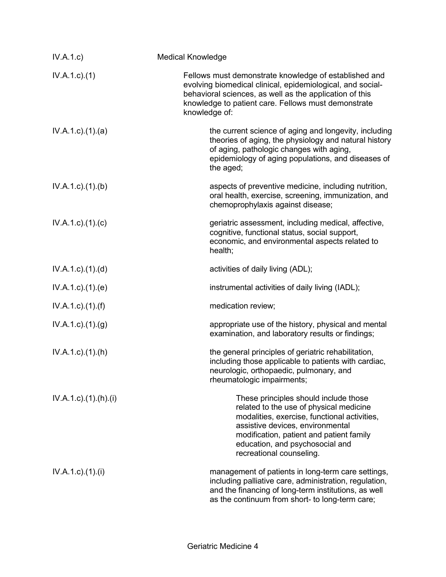| IV.A.1.c)                   | <b>Medical Knowledge</b>                                                                                                                                                                                                                                                        |
|-----------------------------|---------------------------------------------------------------------------------------------------------------------------------------------------------------------------------------------------------------------------------------------------------------------------------|
| $IV.A.1.c.$ (1)             | Fellows must demonstrate knowledge of established and<br>evolving biomedical clinical, epidemiological, and social-<br>behavioral sciences, as well as the application of this<br>knowledge to patient care. Fellows must demonstrate<br>knowledge of:                          |
| $IV.A.1.c.$ (1).(a)         | the current science of aging and longevity, including<br>theories of aging, the physiology and natural history<br>of aging, pathologic changes with aging,<br>epidemiology of aging populations, and diseases of<br>the aged;                                                   |
| $IV.A.1.c.$ (1).(b)         | aspects of preventive medicine, including nutrition,<br>oral health, exercise, screening, immunization, and<br>chemoprophylaxis against disease;                                                                                                                                |
| $IV.A.1.c$ ). $(1).$ (c)    | geriatric assessment, including medical, affective,<br>cognitive, functional status, social support,<br>economic, and environmental aspects related to<br>health;                                                                                                               |
| $IV.A.1.c$ . $(1).$ $(d)$   | activities of daily living (ADL);                                                                                                                                                                                                                                               |
| IV.A.1.c.1(1).(e)           | instrumental activities of daily living (IADL);                                                                                                                                                                                                                                 |
| $IV.A.1.c$ . $(1).$ (f)     | medication review;                                                                                                                                                                                                                                                              |
| $IV.A.1.c$ . $(1).(g)$      | appropriate use of the history, physical and mental<br>examination, and laboratory results or findings;                                                                                                                                                                         |
| $IV.A.1.c$ . $(1).(h)$      | the general principles of geriatric rehabilitation,<br>including those applicable to patients with cardiac,<br>neurologic, orthopaedic, pulmonary, and<br>rheumatologic impairments;                                                                                            |
| $IV.A.1.c$ ). $(1).(h).(i)$ | These principles should include those<br>related to the use of physical medicine<br>modalities, exercise, functional activities,<br>assistive devices, environmental<br>modification, patient and patient family<br>education, and psychosocial and<br>recreational counseling. |
| $IV.A.1.c$ ). $(1).$        | management of patients in long-term care settings,<br>including palliative care, administration, regulation,<br>and the financing of long-term institutions, as well<br>as the continuum from short- to long-term care;                                                         |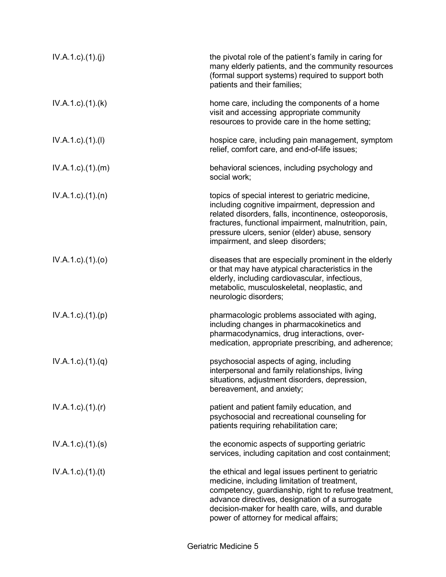| IV.A.1.c)(1)(j)             | the pivotal role of the patient's family in caring for<br>many elderly patients, and the community resources<br>(formal support systems) required to support both<br>patients and their families;                                                                                                             |
|-----------------------------|---------------------------------------------------------------------------------------------------------------------------------------------------------------------------------------------------------------------------------------------------------------------------------------------------------------|
| $IV.A.1.c$ . $(1).$ (k)     | home care, including the components of a home<br>visit and accessing appropriate community<br>resources to provide care in the home setting;                                                                                                                                                                  |
| $IV.A.1.c$ ). $(1).$        | hospice care, including pain management, symptom<br>relief, comfort care, and end-of-life issues;                                                                                                                                                                                                             |
| $IV.A.1.c$ . $(1).$ $(m)$   | behavioral sciences, including psychology and<br>social work;                                                                                                                                                                                                                                                 |
| $IV.A.1.c$ . $(1).$ $(n)$   | topics of special interest to geriatric medicine,<br>including cognitive impairment, depression and<br>related disorders, falls, incontinence, osteoporosis,<br>fractures, functional impairment, malnutrition, pain,<br>pressure ulcers, senior (elder) abuse, sensory<br>impairment, and sleep disorders;   |
| $IV.A.1.c$ . $(1).$ $(o)$   | diseases that are especially prominent in the elderly<br>or that may have atypical characteristics in the<br>elderly, including cardiovascular, infectious,<br>metabolic, musculoskeletal, neoplastic, and<br>neurologic disorders;                                                                           |
| $IV.A.1.c$ . $(1).(p)$      | pharmacologic problems associated with aging,<br>including changes in pharmacokinetics and<br>pharmacodynamics, drug interactions, over-<br>medication, appropriate prescribing, and adherence;                                                                                                               |
| $IV.A.1.c$ ). $(1).(q)$     | psychosocial aspects of aging, including<br>interpersonal and family relationships, living<br>situations, adjustment disorders, depression,<br>bereavement, and anxiety;                                                                                                                                      |
| $IV.A.1.c$ ). $(1)$ . $(r)$ | patient and patient family education, and<br>psychosocial and recreational counseling for<br>patients requiring rehabilitation care;                                                                                                                                                                          |
| $IV.A.1.c.$ $(1).$ $(s)$    | the economic aspects of supporting geriatric<br>services, including capitation and cost containment;                                                                                                                                                                                                          |
| IV.A.1.c)(1)(t)             | the ethical and legal issues pertinent to geriatric<br>medicine, including limitation of treatment,<br>competency, guardianship, right to refuse treatment,<br>advance directives, designation of a surrogate<br>decision-maker for health care, wills, and durable<br>power of attorney for medical affairs; |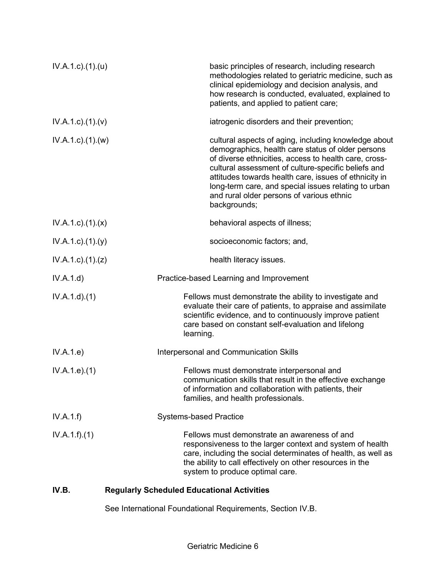| $IV.A.1.c$ . $(1).$ $(u)$ | basic principles of research, including research<br>methodologies related to geriatric medicine, such as<br>clinical epidemiology and decision analysis, and<br>how research is conducted, evaluated, explained to<br>patients, and applied to patient care;                                                                                                                                            |
|---------------------------|---------------------------------------------------------------------------------------------------------------------------------------------------------------------------------------------------------------------------------------------------------------------------------------------------------------------------------------------------------------------------------------------------------|
| $IV.A.1.c$ ). $(1).(v)$   | iatrogenic disorders and their prevention;                                                                                                                                                                                                                                                                                                                                                              |
| IV.A.1.c)(1)(w)           | cultural aspects of aging, including knowledge about<br>demographics, health care status of older persons<br>of diverse ethnicities, access to health care, cross-<br>cultural assessment of culture-specific beliefs and<br>attitudes towards health care, issues of ethnicity in<br>long-term care, and special issues relating to urban<br>and rural older persons of various ethnic<br>backgrounds; |
| $IV.A.1.c$ . $(1).$ $(x)$ | behavioral aspects of illness;                                                                                                                                                                                                                                                                                                                                                                          |
| $IV.A.1.c$ . $(1).$ $(y)$ | socioeconomic factors; and,                                                                                                                                                                                                                                                                                                                                                                             |
| $IV.A.1.c$ . $(1).$ $(z)$ | health literacy issues.                                                                                                                                                                                                                                                                                                                                                                                 |
| IV.A.1.d)                 | Practice-based Learning and Improvement                                                                                                                                                                                                                                                                                                                                                                 |
| IV.A.1.d)(1)              | Fellows must demonstrate the ability to investigate and<br>evaluate their care of patients, to appraise and assimilate<br>scientific evidence, and to continuously improve patient<br>care based on constant self-evaluation and lifelong<br>learning.                                                                                                                                                  |
| IV.A.1.e)                 | Interpersonal and Communication Skills                                                                                                                                                                                                                                                                                                                                                                  |
| IV.A.1.e. (1)             | Fellows must demonstrate interpersonal and<br>communication skills that result in the effective exchange<br>of information and collaboration with patients, their<br>families, and health professionals.                                                                                                                                                                                                |
| IV.A.1.f)                 | <b>Systems-based Practice</b>                                                                                                                                                                                                                                                                                                                                                                           |
| IV.A.1.f)(1)              | Fellows must demonstrate an awareness of and<br>responsiveness to the larger context and system of health<br>care, including the social determinates of health, as well as<br>the ability to call effectively on other resources in the<br>system to produce optimal care.                                                                                                                              |

## **IV.B. Regularly Scheduled Educational Activities**

See International Foundational Requirements, Section IV.B.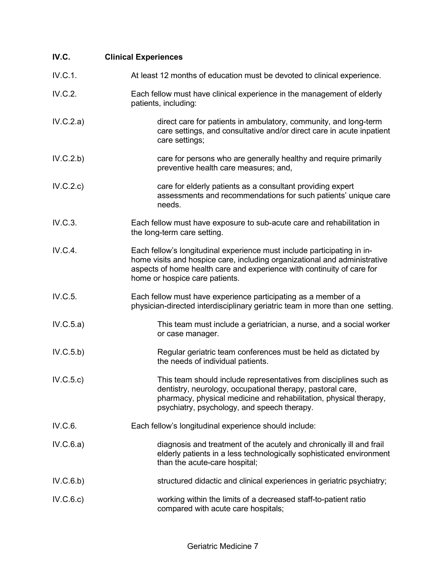| IV.C.     | <b>Clinical Experiences</b>                                                                                                                                                                                                                                      |
|-----------|------------------------------------------------------------------------------------------------------------------------------------------------------------------------------------------------------------------------------------------------------------------|
| IV.C.1.   | At least 12 months of education must be devoted to clinical experience.                                                                                                                                                                                          |
| IV.C.2.   | Each fellow must have clinical experience in the management of elderly<br>patients, including:                                                                                                                                                                   |
| IV.C.2.a) | direct care for patients in ambulatory, community, and long-term<br>care settings, and consultative and/or direct care in acute inpatient<br>care settings;                                                                                                      |
| IV.C.2.b) | care for persons who are generally healthy and require primarily<br>preventive health care measures; and,                                                                                                                                                        |
| IV.C.2.c) | care for elderly patients as a consultant providing expert<br>assessments and recommendations for such patients' unique care<br>needs.                                                                                                                           |
| IV.C.3.   | Each fellow must have exposure to sub-acute care and rehabilitation in<br>the long-term care setting.                                                                                                                                                            |
| IV.C.4.   | Each fellow's longitudinal experience must include participating in in-<br>home visits and hospice care, including organizational and administrative<br>aspects of home health care and experience with continuity of care for<br>home or hospice care patients. |
| IV.C.5.   | Each fellow must have experience participating as a member of a<br>physician-directed interdisciplinary geriatric team in more than one setting.                                                                                                                 |
| IV.C.5.a) | This team must include a geriatrician, a nurse, and a social worker<br>or case manager.                                                                                                                                                                          |
| IV.C.5.b) | Regular geriatric team conferences must be held as dictated by<br>the needs of individual patients.                                                                                                                                                              |
| IV.C.5.c) | This team should include representatives from disciplines such as<br>dentistry, neurology, occupational therapy, pastoral care,<br>pharmacy, physical medicine and rehabilitation, physical therapy,<br>psychiatry, psychology, and speech therapy.              |
| IV.C.6.   | Each fellow's longitudinal experience should include:                                                                                                                                                                                                            |
| IV.C.6.a) | diagnosis and treatment of the acutely and chronically ill and frail<br>elderly patients in a less technologically sophisticated environment<br>than the acute-care hospital;                                                                                    |
| IV.C.6.b) | structured didactic and clinical experiences in geriatric psychiatry;                                                                                                                                                                                            |
| IV.C.6.c) | working within the limits of a decreased staff-to-patient ratio<br>compared with acute care hospitals;                                                                                                                                                           |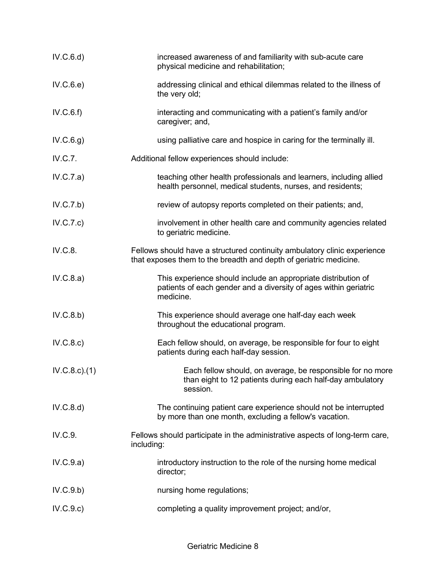| IV.C.6.d            | increased awareness of and familiarity with sub-acute care<br>physical medicine and rehabilitation;                                            |
|---------------------|------------------------------------------------------------------------------------------------------------------------------------------------|
| IV.C.6.e)           | addressing clinical and ethical dilemmas related to the illness of<br>the very old;                                                            |
| IV.C.6.f)           | interacting and communicating with a patient's family and/or<br>caregiver; and,                                                                |
| IV.C.6.g)           | using palliative care and hospice in caring for the terminally ill.                                                                            |
| IV.C.7.             | Additional fellow experiences should include:                                                                                                  |
| IV.C.7.a)           | teaching other health professionals and learners, including allied<br>health personnel, medical students, nurses, and residents;               |
| IV.C.7.b)           | review of autopsy reports completed on their patients; and,                                                                                    |
| IV.C.7.c)           | involvement in other health care and community agencies related<br>to geriatric medicine.                                                      |
| IV.C.8.             | Fellows should have a structured continuity ambulatory clinic experience<br>that exposes them to the breadth and depth of geriatric medicine.  |
| IV.C.8.a)           | This experience should include an appropriate distribution of<br>patients of each gender and a diversity of ages within geriatric<br>medicine. |
| IV.C.8.b)           | This experience should average one half-day each week<br>throughout the educational program.                                                   |
| IV.C.8.c)           | Each fellow should, on average, be responsible for four to eight<br>patients during each half-day session.                                     |
| $IV.C.8.c$ ). $(1)$ | Each fellow should, on average, be responsible for no more<br>than eight to 12 patients during each half-day ambulatory<br>session.            |
| IV.C.8.d)           | The continuing patient care experience should not be interrupted<br>by more than one month, excluding a fellow's vacation.                     |
| IV.C.9.             | Fellows should participate in the administrative aspects of long-term care,<br>including:                                                      |
| IV.C.9.a)           | introductory instruction to the role of the nursing home medical<br>director;                                                                  |
| IV.C.9.b)           | nursing home regulations;                                                                                                                      |
| IV.C.9.c)           | completing a quality improvement project; and/or,                                                                                              |